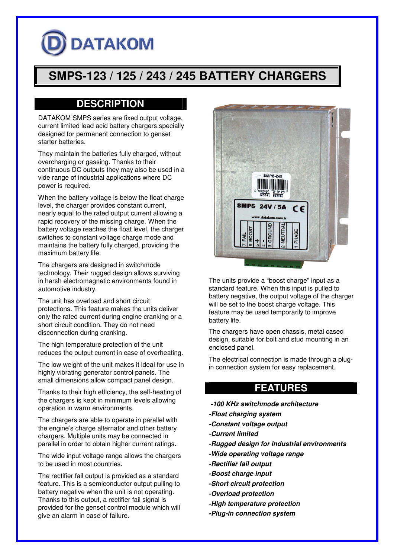## **DATAKOM**

## **SMPS-123 / 125 / 243 / 245 BATTERY CHARGERS**

## **DESCRIPTION**

DATAKOM SMPS series are fixed output voltage, current limited lead acid battery chargers specially designed for permanent connection to genset starter batteries.

They maintain the batteries fully charged, without overcharging or gassing. Thanks to their continuous DC outputs they may also be used in a vide range of industrial applications where DC power is required.

When the battery voltage is below the float charge level, the charger provides constant current, nearly equal to the rated output current allowing a rapid recovery of the missing charge. When the battery voltage reaches the float level, the charger switches to constant voltage charge mode and maintains the battery fully charged, providing the maximum battery life.

The chargers are designed in switchmode technology. Their rugged design allows surviving in harsh electromagnetic environments found in automotive industry.

The unit has overload and short circuit protections. This feature makes the units deliver only the rated current during engine cranking or a short circuit condition. They do not need disconnection during cranking.

The high temperature protection of the unit reduces the output current in case of overheating.

The low weight of the unit makes it ideal for use in highly vibrating generator control panels. The small dimensions allow compact panel design.

Thanks to their high efficiency, the self-heating of the chargers is kept in minimum levels allowing operation in warm environments.

The chargers are able to operate in parallel with the engine's charge alternator and other battery chargers. Multiple units may be connected in parallel in order to obtain higher current ratings.

The wide input voltage range allows the chargers to be used in most countries.

The rectifier fail output is provided as a standard feature. This is a semiconductor output pulling to battery negative when the unit is not operating. Thanks to this output, a rectifier fail signal is provided for the genset control module which will give an alarm in case of failure.



The units provide a "boost charge" input as a standard feature. When this input is pulled to battery negative, the output voltage of the charger will be set to the boost charge voltage. This feature may be used temporarily to improve battery life.

The chargers have open chassis, metal cased design, suitable for bolt and stud mounting in an enclosed panel.

The electrical connection is made through a plugin connection system for easy replacement.

## **FEATURES**

- *-100 KHz switchmode architecture*
- *-Float charging system*
- *-Constant voltage output*
- *-Current limited*
- *-Rugged design for industrial environments*
- *-Wide operating voltage range*
- *-Rectifier fail output*
- *-Boost charge input*
- *-Short circuit protection*
- *-Overload protection*
- *-High temperature protection*
- *-Plug-in connection system*